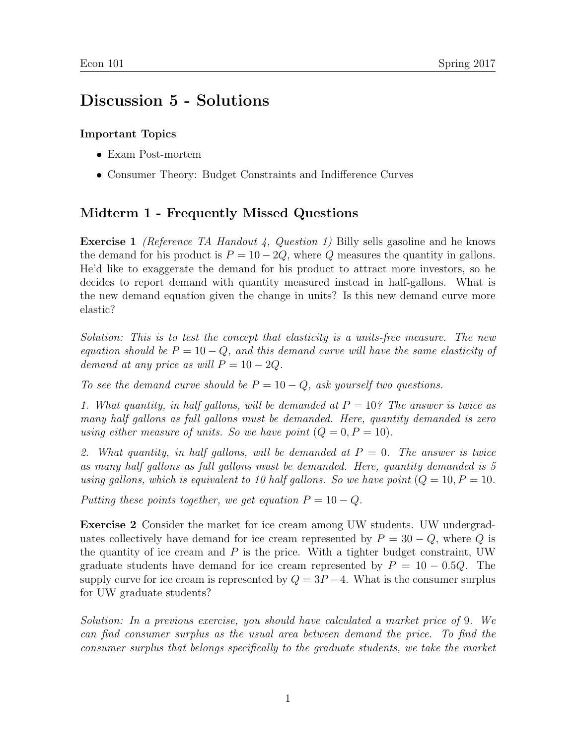## Discussion 5 - Solutions

## Important Topics

- Exam Post-mortem
- Consumer Theory: Budget Constraints and Indifference Curves

## Midterm 1 - Frequently Missed Questions

Exercise 1 (Reference TA Handout 4, Question 1) Billy sells gasoline and he knows the demand for his product is  $P = 10 - 2Q$ , where Q measures the quantity in gallons. He'd like to exaggerate the demand for his product to attract more investors, so he decides to report demand with quantity measured instead in half-gallons. What is the new demand equation given the change in units? Is this new demand curve more elastic?

Solution: This is to test the concept that elasticity is a units-free measure. The new equation should be  $P = 10 - Q$ , and this demand curve will have the same elasticity of demand at any price as will  $P = 10 - 2Q$ .

To see the demand curve should be  $P = 10 - Q$ , ask yourself two questions.

1. What quantity, in half gallons, will be demanded at  $P = 10^{\circ}$ . The answer is twice as many half gallons as full gallons must be demanded. Here, quantity demanded is zero using either measure of units. So we have point  $(Q = 0, P = 10)$ .

2. What quantity, in half gallons, will be demanded at  $P = 0$ . The answer is twice as many half gallons as full gallons must be demanded. Here, quantity demanded is 5 using gallons, which is equivalent to 10 half gallons. So we have point  $(Q = 10, P = 10$ .

Putting these points together, we get equation  $P = 10 - Q$ .

Exercise 2 Consider the market for ice cream among UW students. UW undergraduates collectively have demand for ice cream represented by  $P = 30 - Q$ , where Q is the quantity of ice cream and  $P$  is the price. With a tighter budget constraint, UW graduate students have demand for ice cream represented by  $P = 10 - 0.5Q$ . The supply curve for ice cream is represented by  $Q = 3P - 4$ . What is the consumer surplus for UW graduate students?

Solution: In a previous exercise, you should have calculated a market price of 9. We can find consumer surplus as the usual area between demand the price. To find the consumer surplus that belongs specifically to the graduate students, we take the market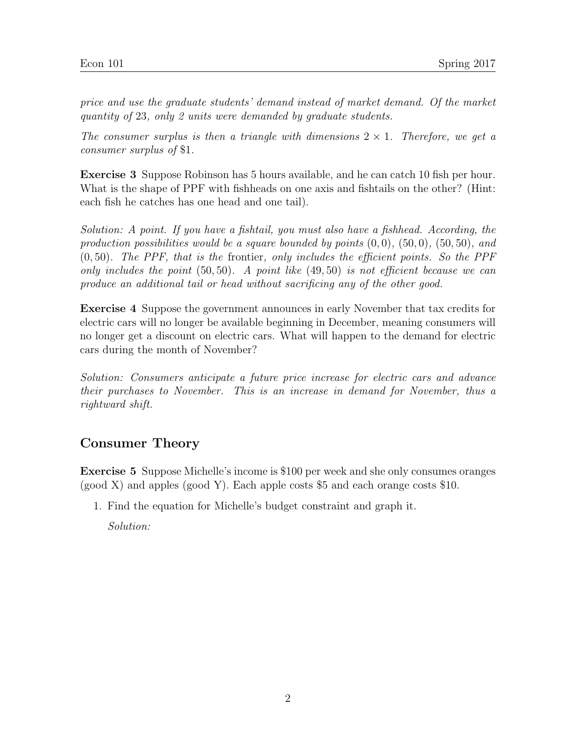price and use the graduate students' demand instead of market demand. Of the market quantity of 23, only 2 units were demanded by graduate students.

The consumer surplus is then a triangle with dimensions  $2 \times 1$ . Therefore, we get a consumer surplus of \$1.

Exercise 3 Suppose Robinson has 5 hours available, and he can catch 10 fish per hour. What is the shape of PPF with fishheads on one axis and fishtails on the other? (Hint: each fish he catches has one head and one tail).

Solution: A point. If you have a fishtail, you must also have a fishhead. According, the production possibilities would be a square bounded by points  $(0,0)$ ,  $(50,0)$ ,  $(50,50)$ , and  $(0, 50)$ . The PPF, that is the frontier, only includes the efficient points. So the PPF only includes the point  $(50, 50)$ . A point like  $(49, 50)$  is not efficient because we can produce an additional tail or head without sacrificing any of the other good.

Exercise 4 Suppose the government announces in early November that tax credits for electric cars will no longer be available beginning in December, meaning consumers will no longer get a discount on electric cars. What will happen to the demand for electric cars during the month of November?

Solution: Consumers anticipate a future price increase for electric cars and advance their purchases to November. This is an increase in demand for November, thus a rightward shift.

## Consumer Theory

Exercise 5 Suppose Michelle's income is \$100 per week and she only consumes oranges (good X) and apples (good Y). Each apple costs \$5 and each orange costs \$10.

1. Find the equation for Michelle's budget constraint and graph it.

Solution: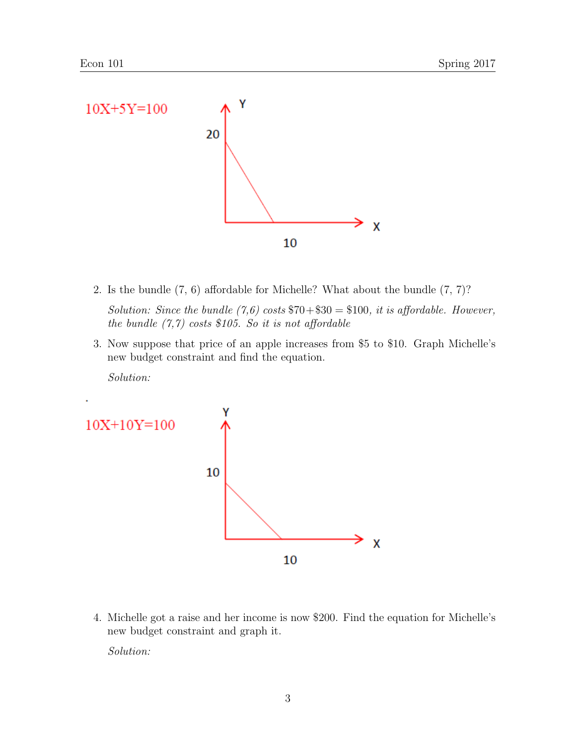

- 2. Is the bundle (7, 6) affordable for Michelle? What about the bundle (7, 7)? Solution: Since the bundle  $(7,6)$  costs  $70+30 = 100$ , it is affordable. However, the bundle  $(7,7)$  costs \$105. So it is not affordable
- 3. Now suppose that price of an apple increases from \$5 to \$10. Graph Michelle's new budget constraint and find the equation.

Solution:



4. Michelle got a raise and her income is now \$200. Find the equation for Michelle's new budget constraint and graph it.

Solution: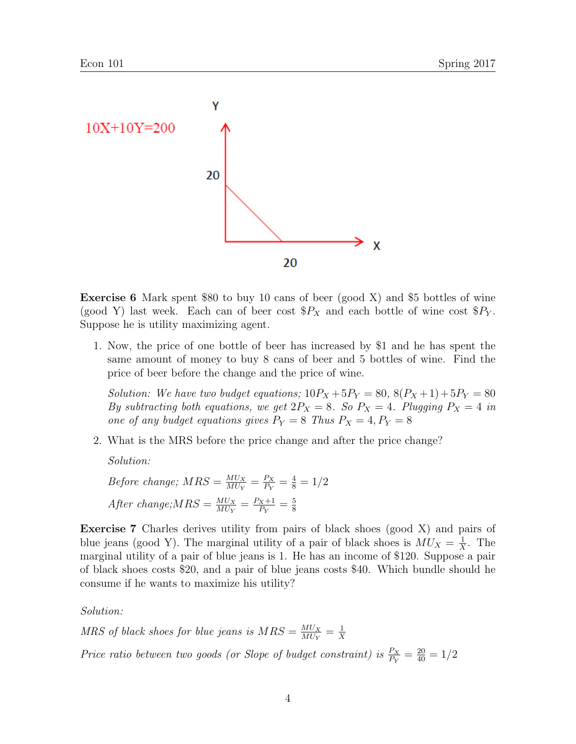

Exercise 6 Mark spent \$80 to buy 10 cans of beer (good X) and \$5 bottles of wine (good Y) last week. Each can of beer cost  $P_X$  and each bottle of wine cost  $P_Y$ . Suppose he is utility maximizing agent.

1. Now, the price of one bottle of beer has increased by \$1 and he has spent the same amount of money to buy 8 cans of beer and 5 bottles of wine. Find the price of beer before the change and the price of wine.

Solution: We have two budget equations;  $10P_X + 5P_Y = 80$ ,  $8(P_X + 1) + 5P_Y = 80$ By subtracting both equations, we get  $2P_X = 8$ . So  $P_X = 4$ . Plugging  $P_X = 4$  in one of any budget equations gives  $P_Y = 8$  Thus  $P_X = 4, P_Y = 8$ 

2. What is the MRS before the price change and after the price change?

Solution:

Before change;  $MRS = \frac{M U_X}{M I_N}$  $\frac{M U_X}{M U_Y} = \frac{P_X}{P_Y}$  $\frac{P_X}{P_Y} = \frac{4}{8} = 1/2$ After change;  $MRS = \frac{M U_X}{M I_N}$  $\frac{M U_X}{M U_Y} = \frac{P_X + 1}{P_Y}$  $\frac{P_X+1}{P_Y} = \frac{5}{8}$ 8

Exercise 7 Charles derives utility from pairs of black shoes (good X) and pairs of blue jeans (good Y). The marginal utility of a pair of black shoes is  $MU_X = \frac{1}{X}$  $\frac{1}{X}$ . The marginal utility of a pair of blue jeans is 1. He has an income of \$120. Suppose a pair of black shoes costs \$20, and a pair of blue jeans costs \$40. Which bundle should he consume if he wants to maximize his utility?

Solution:

MRS of black shoes for blue jeans is  $MRS = \frac{M U_X}{M I W}$  $\frac{M U_X}{M U_Y} = \frac{1}{X}$ X Price ratio between two goods (or Slope of budget constraint) is  $\frac{P_X}{P_Y} = \frac{20}{40} = 1/2$